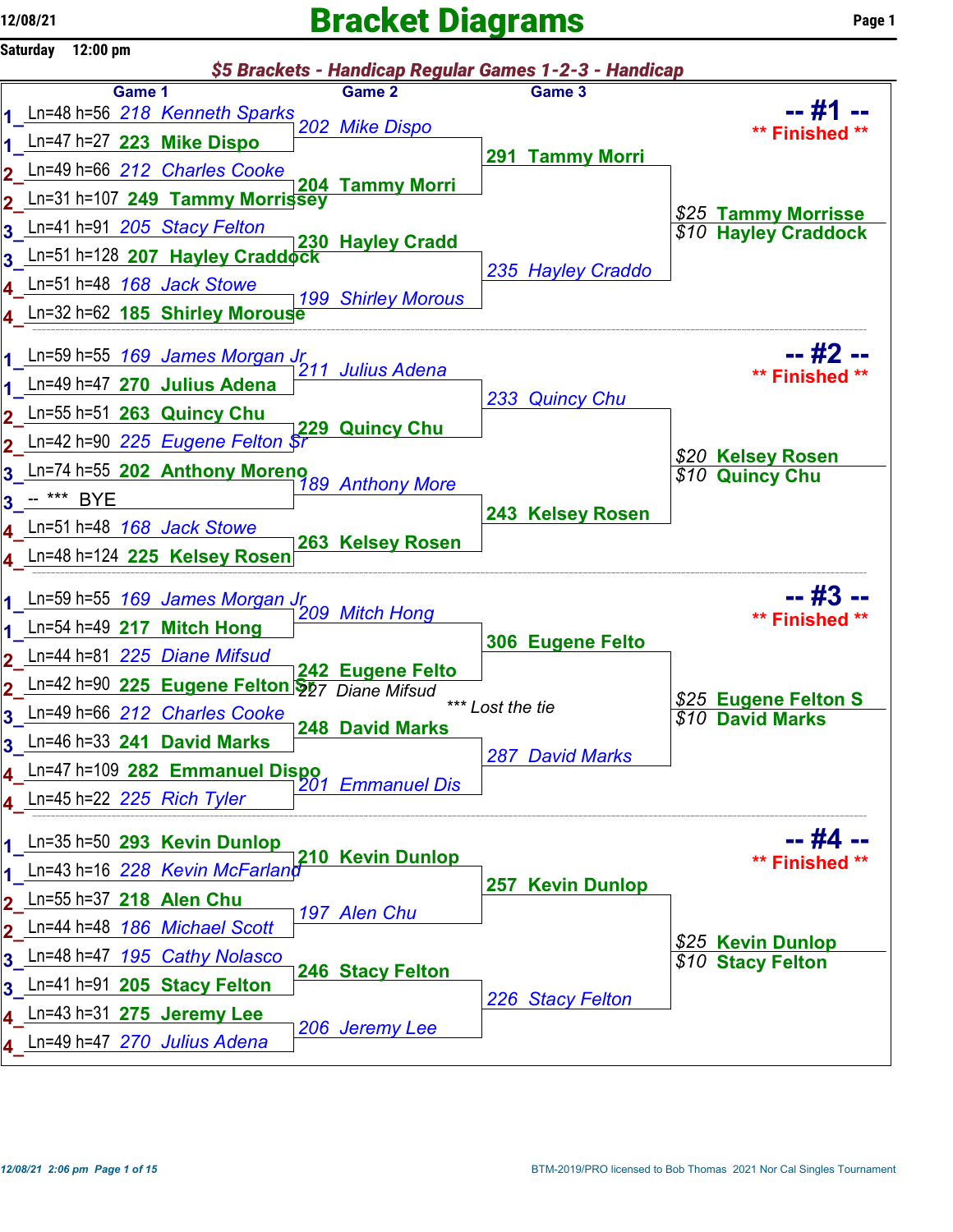## $12/08/21$  Page 1



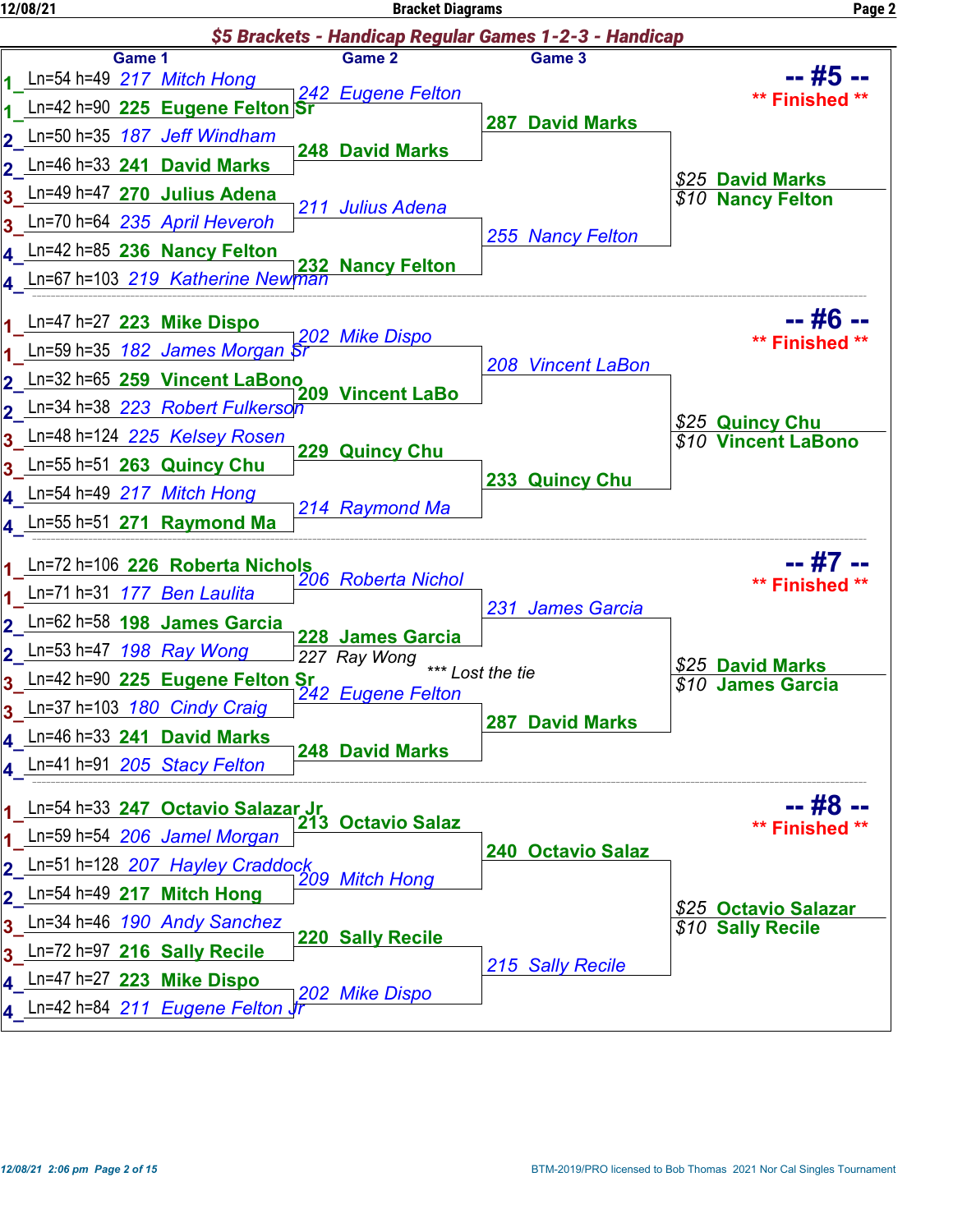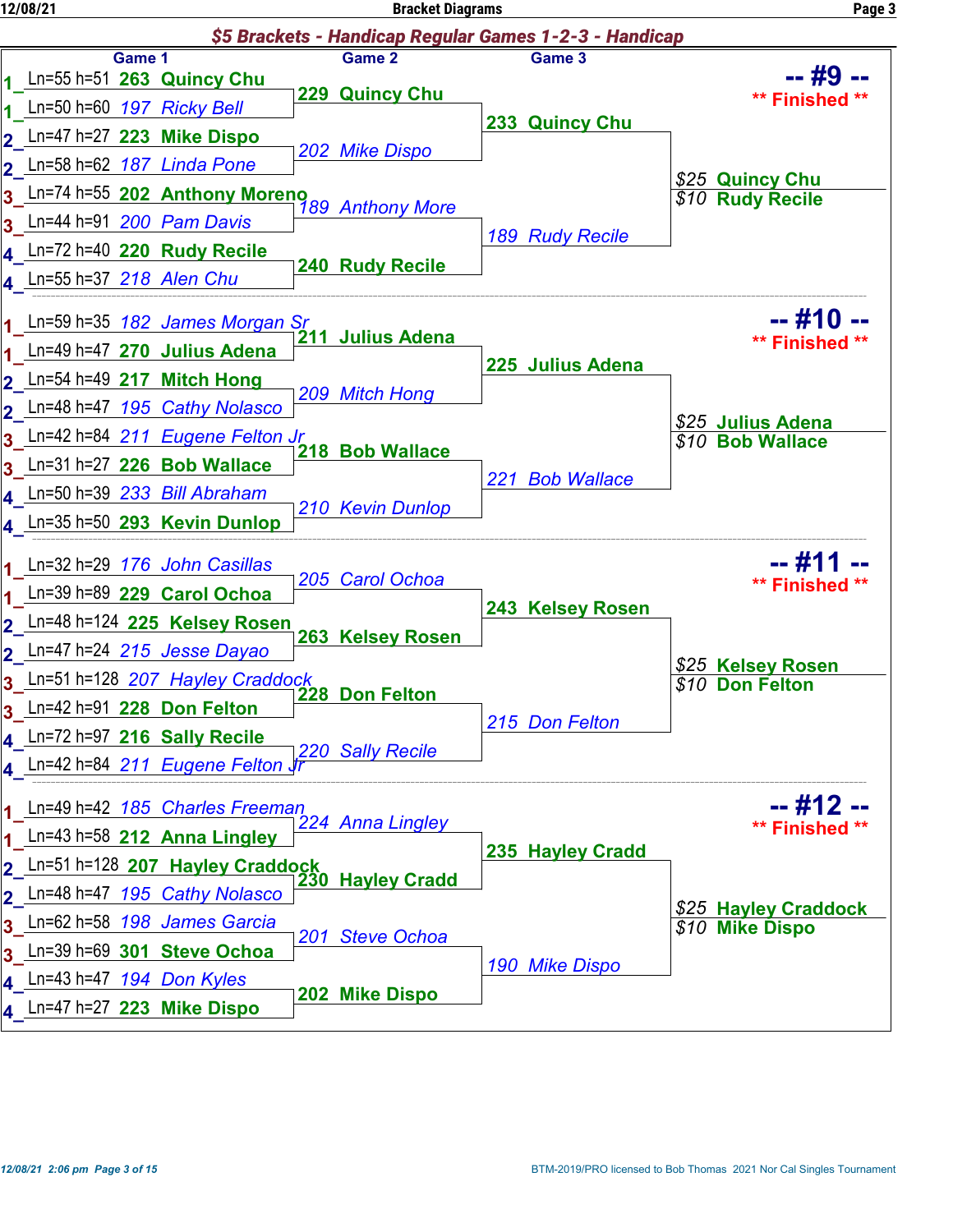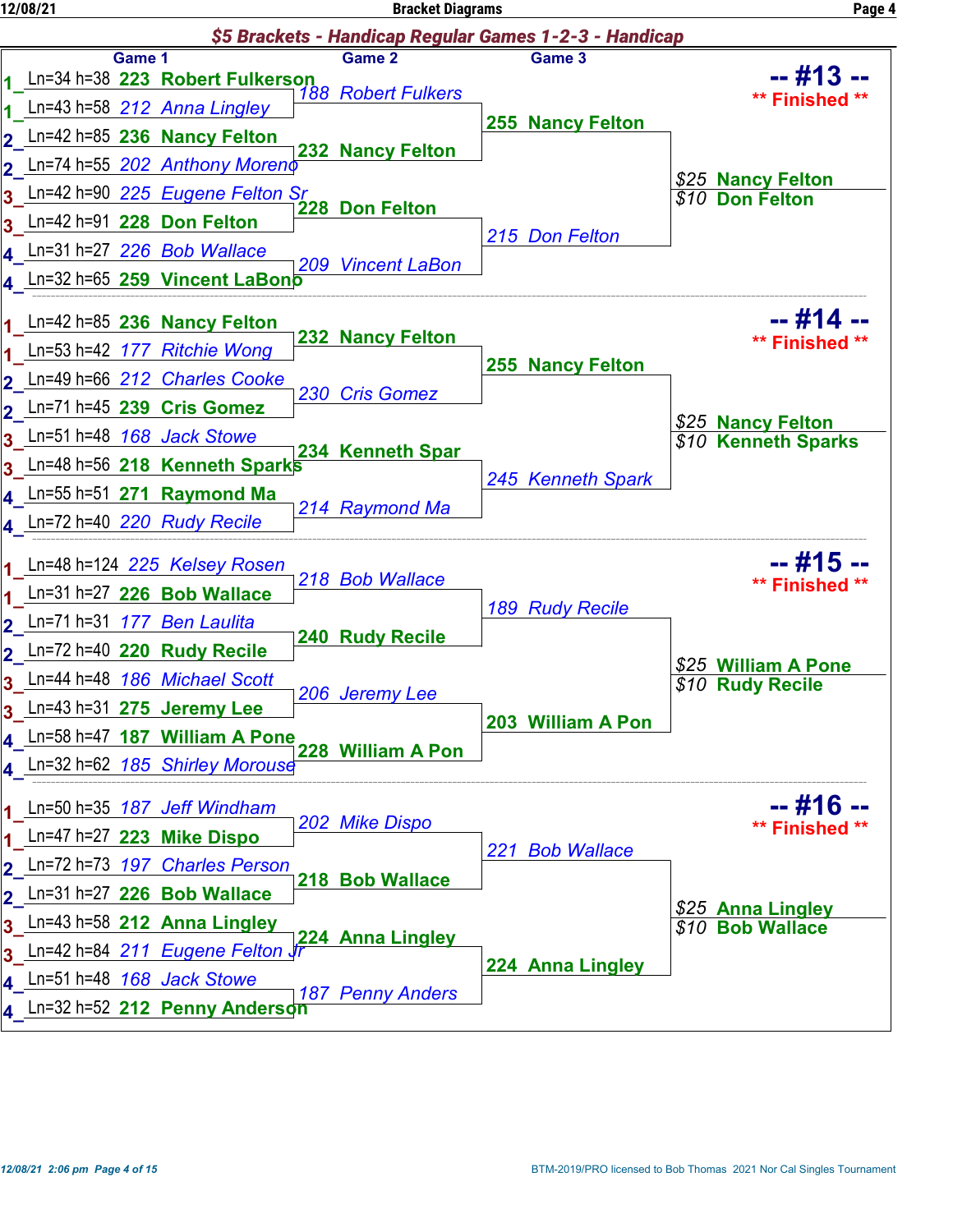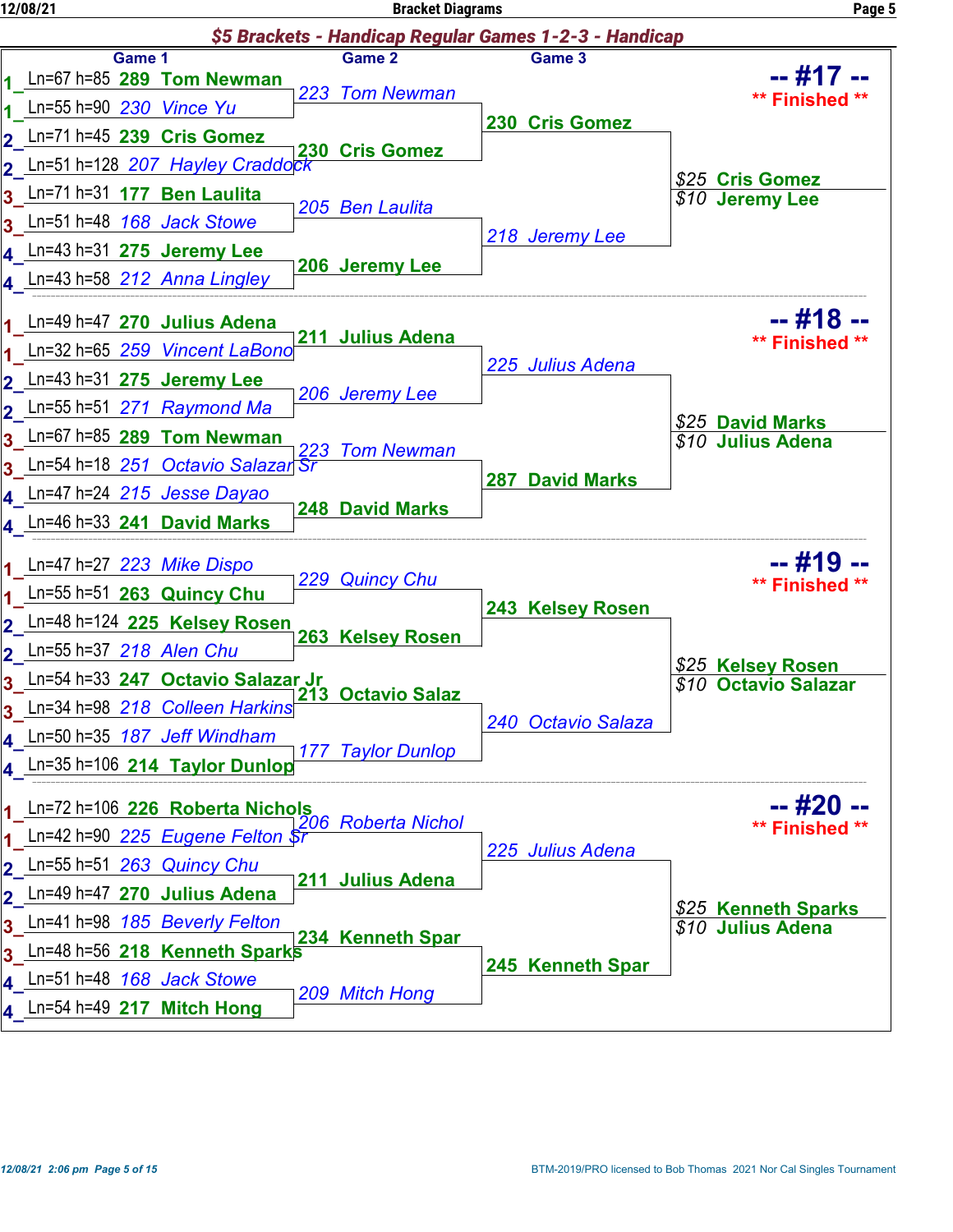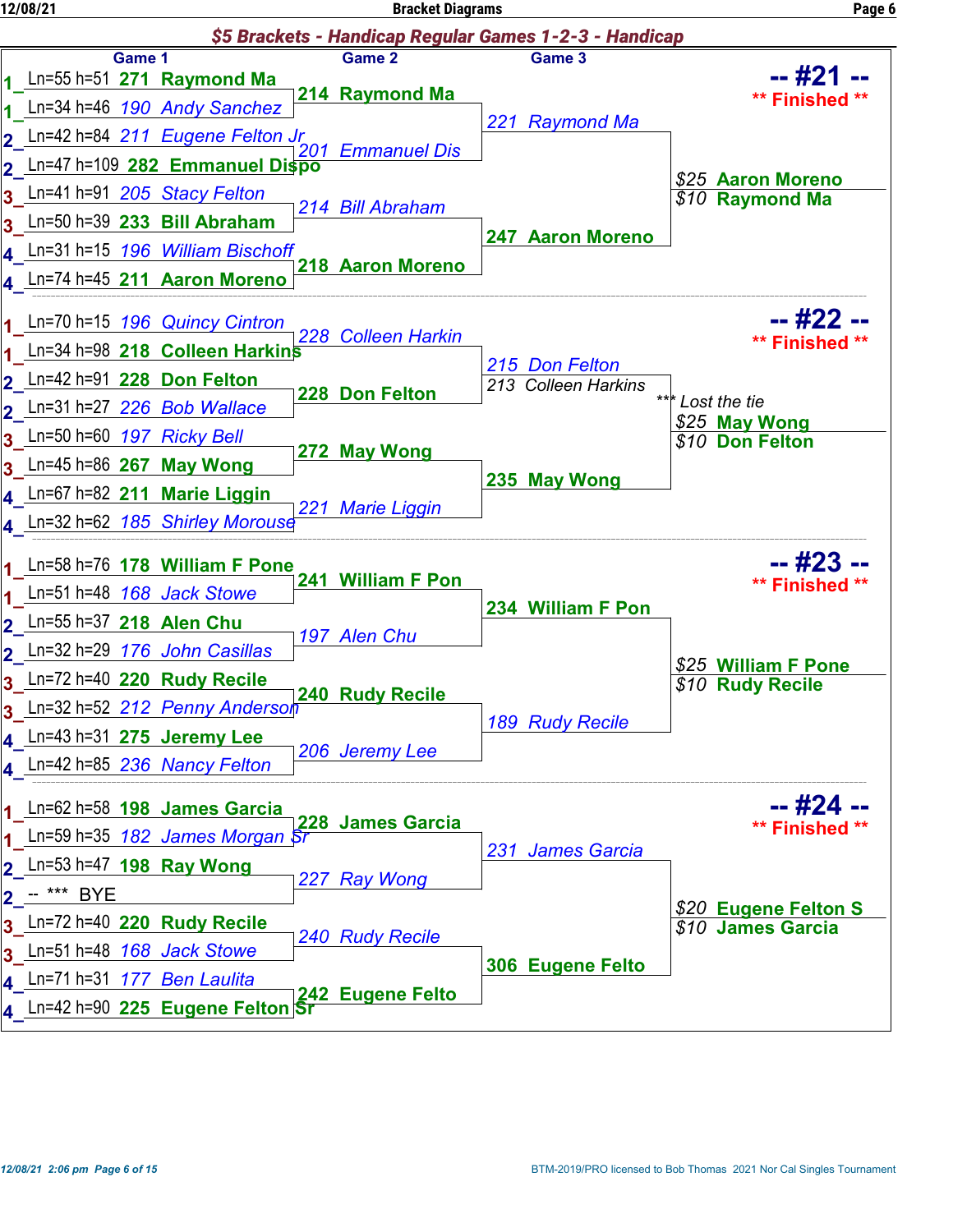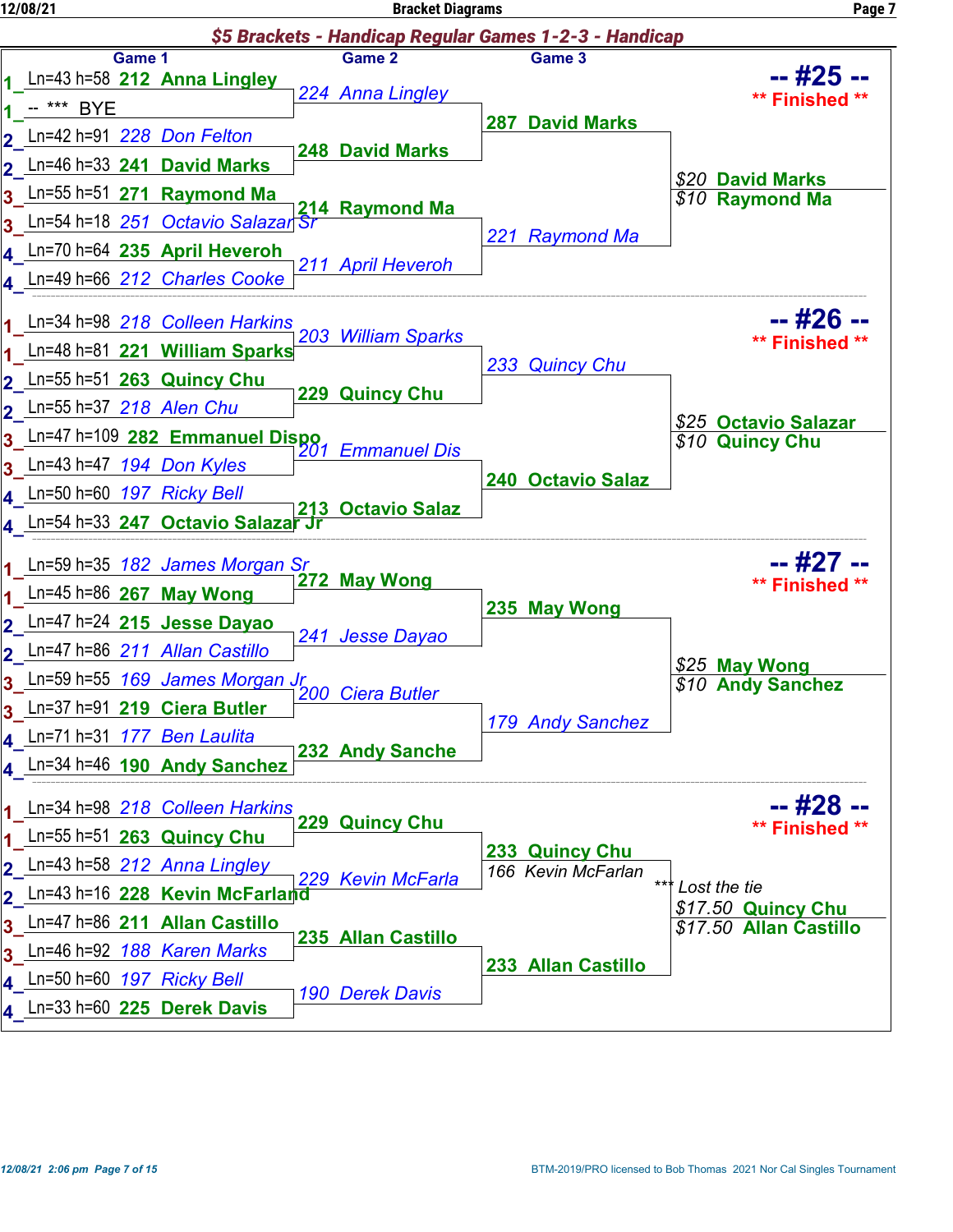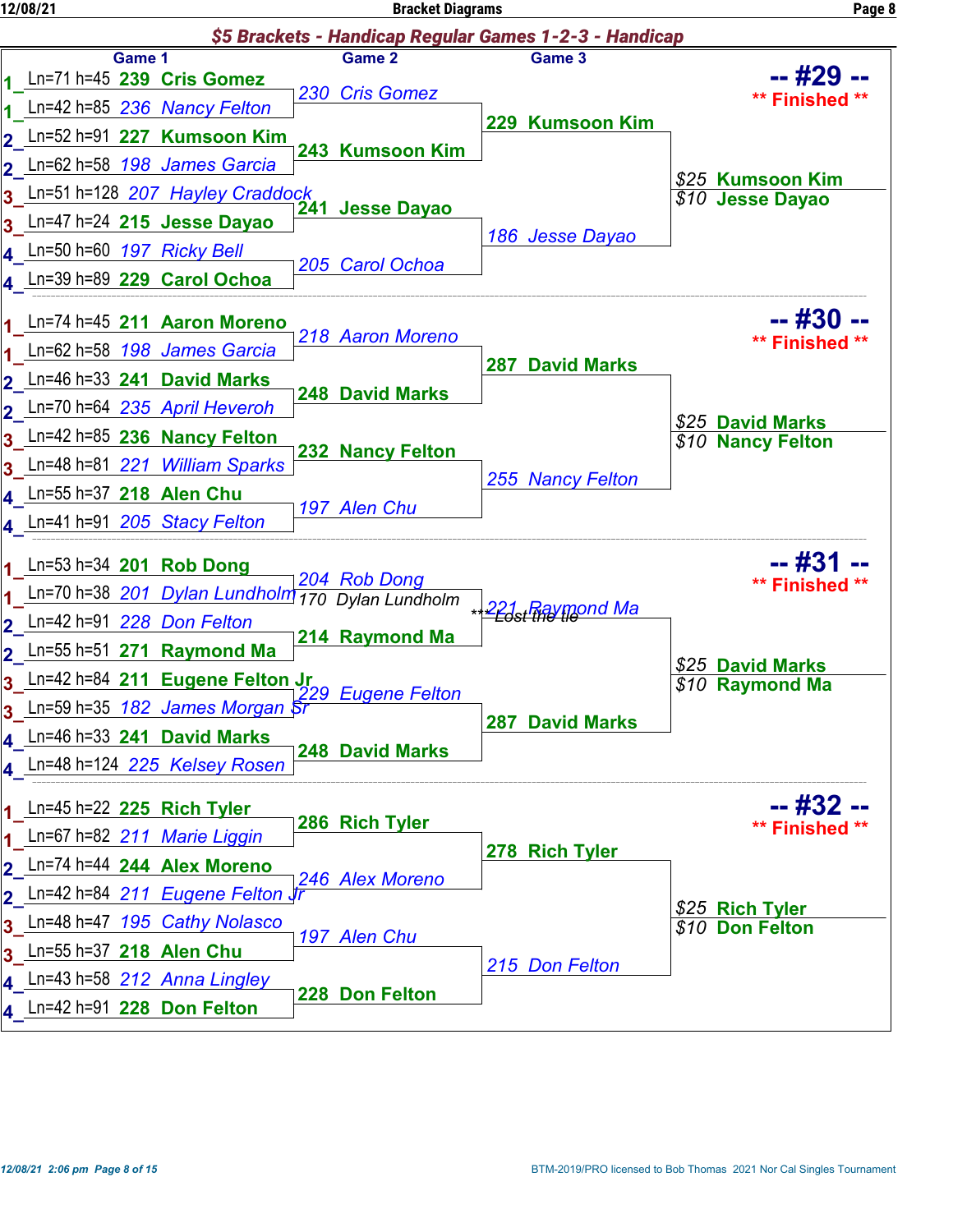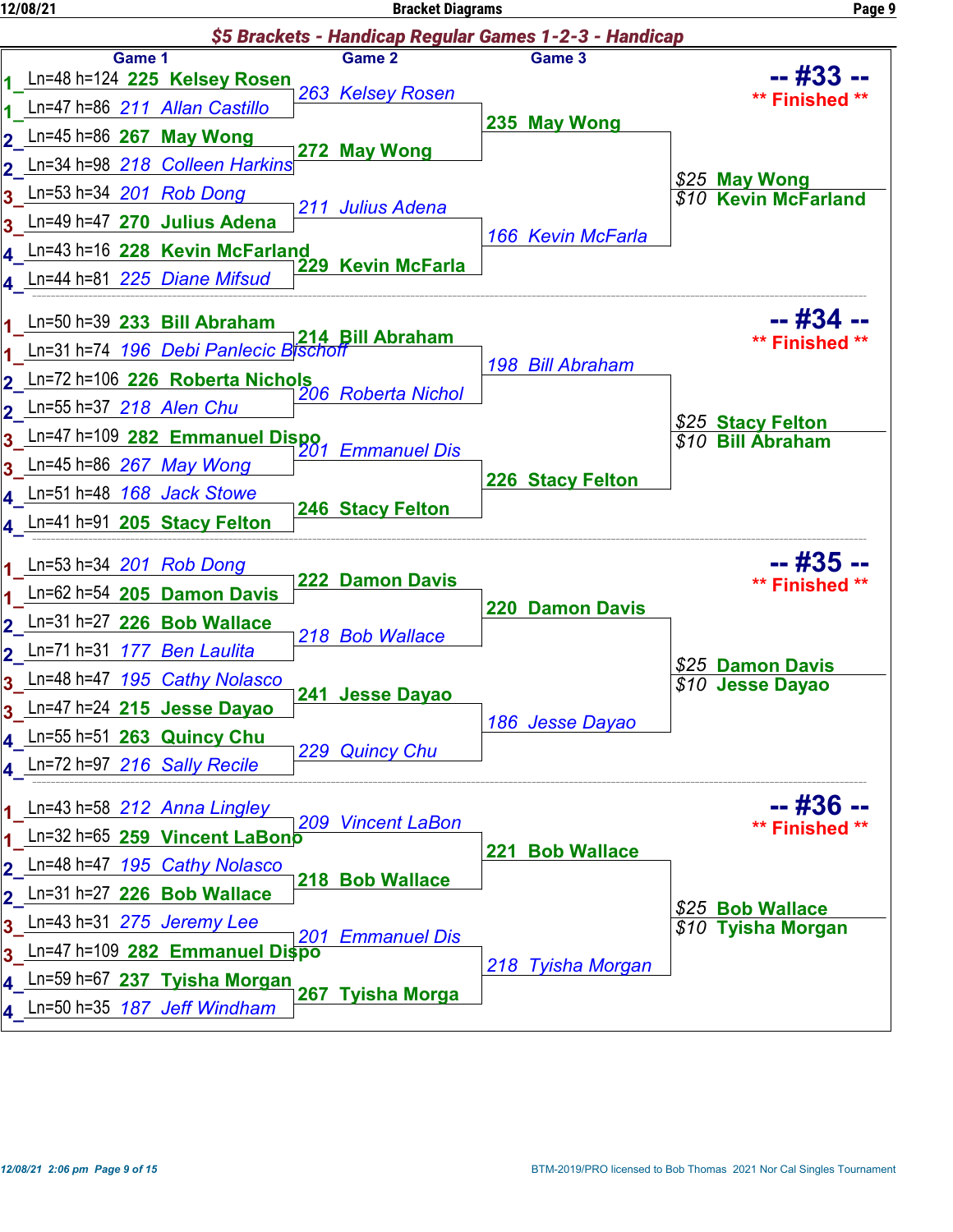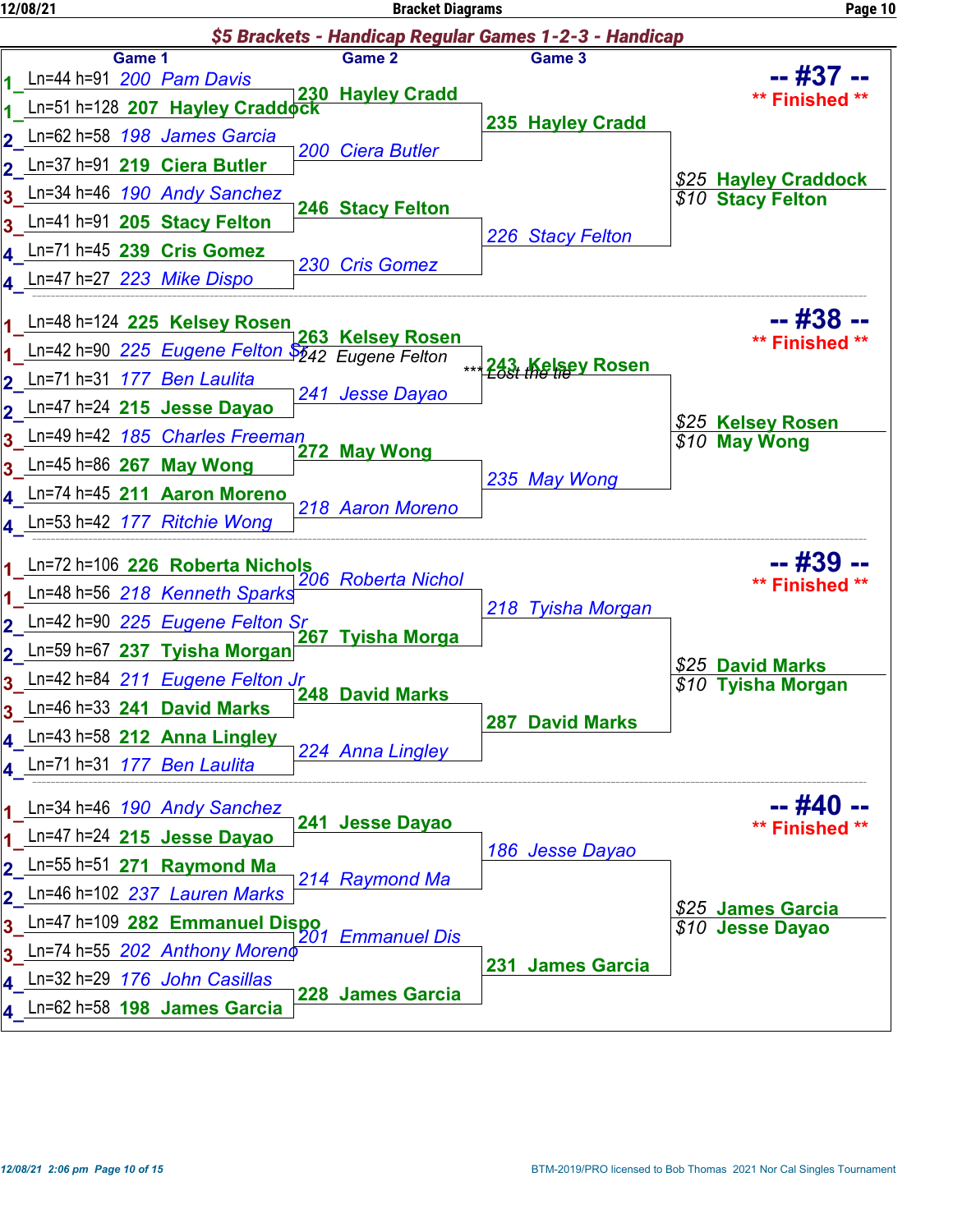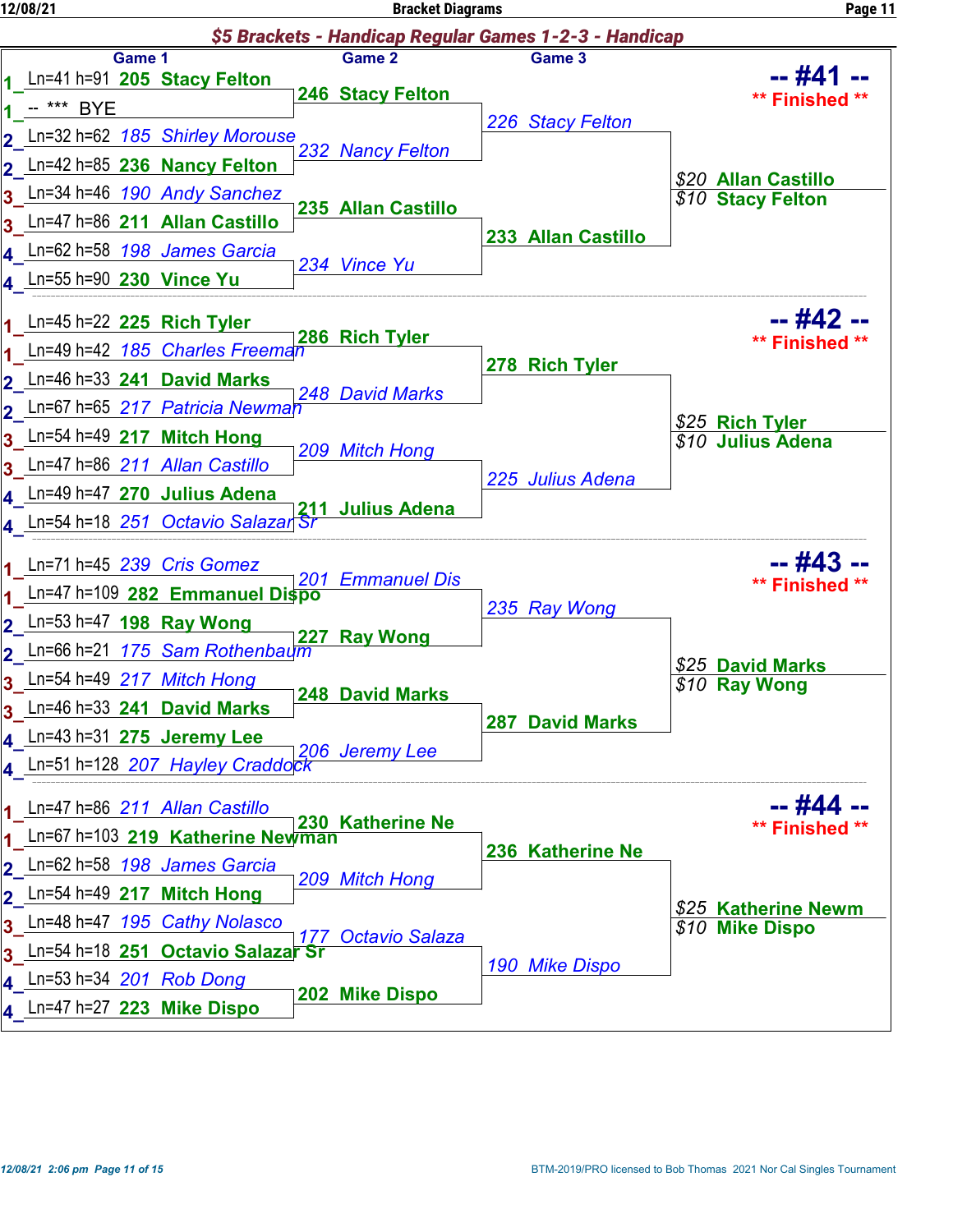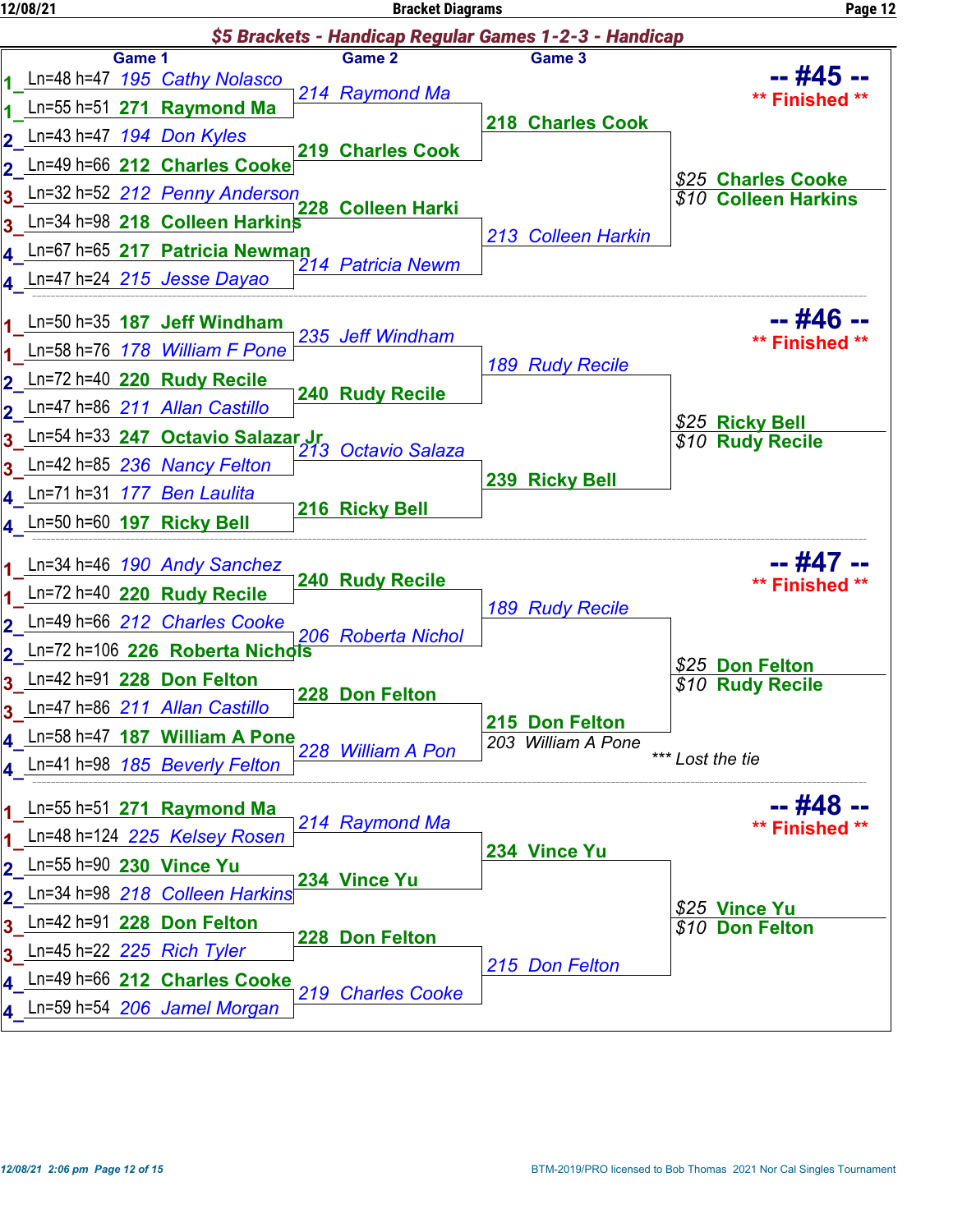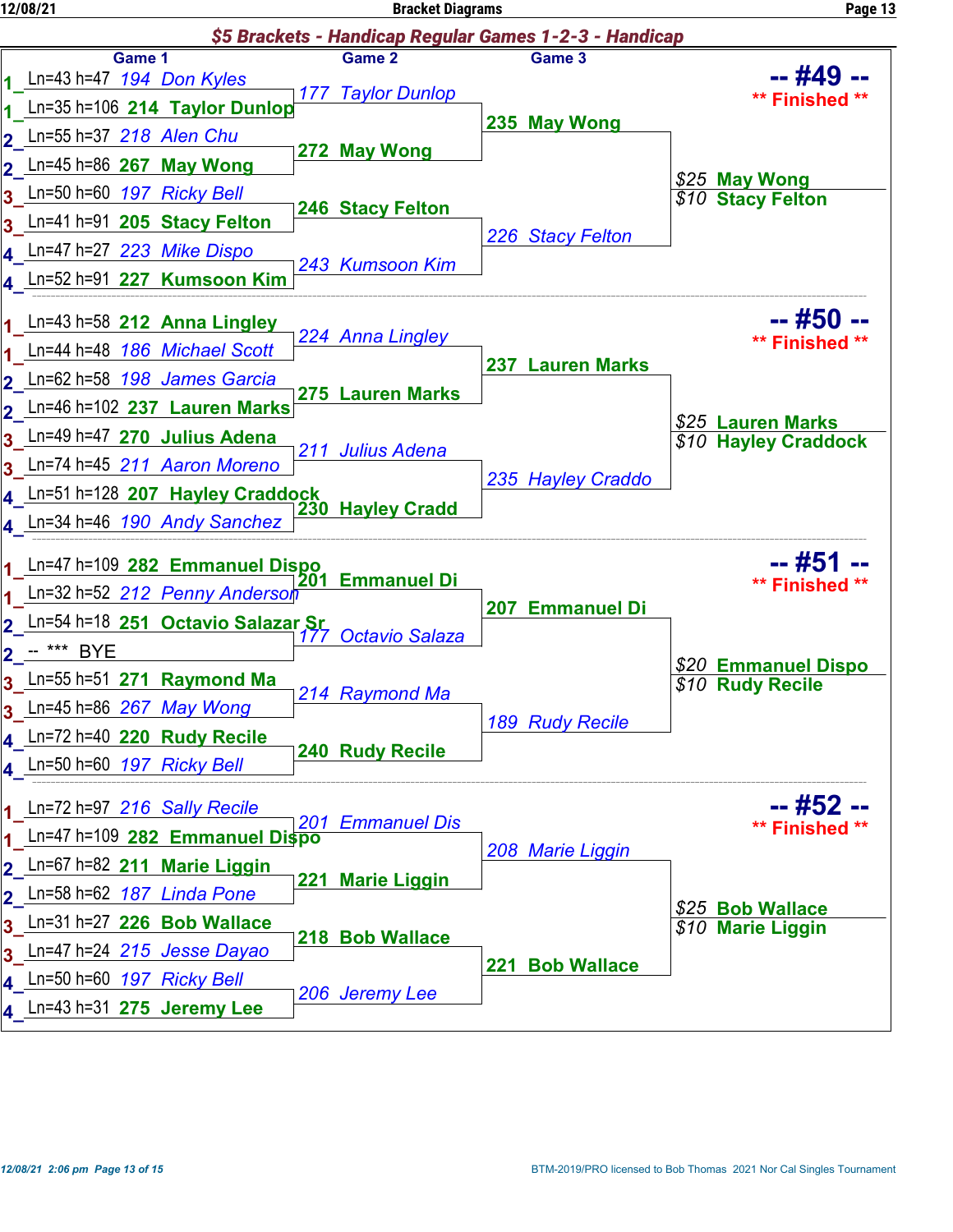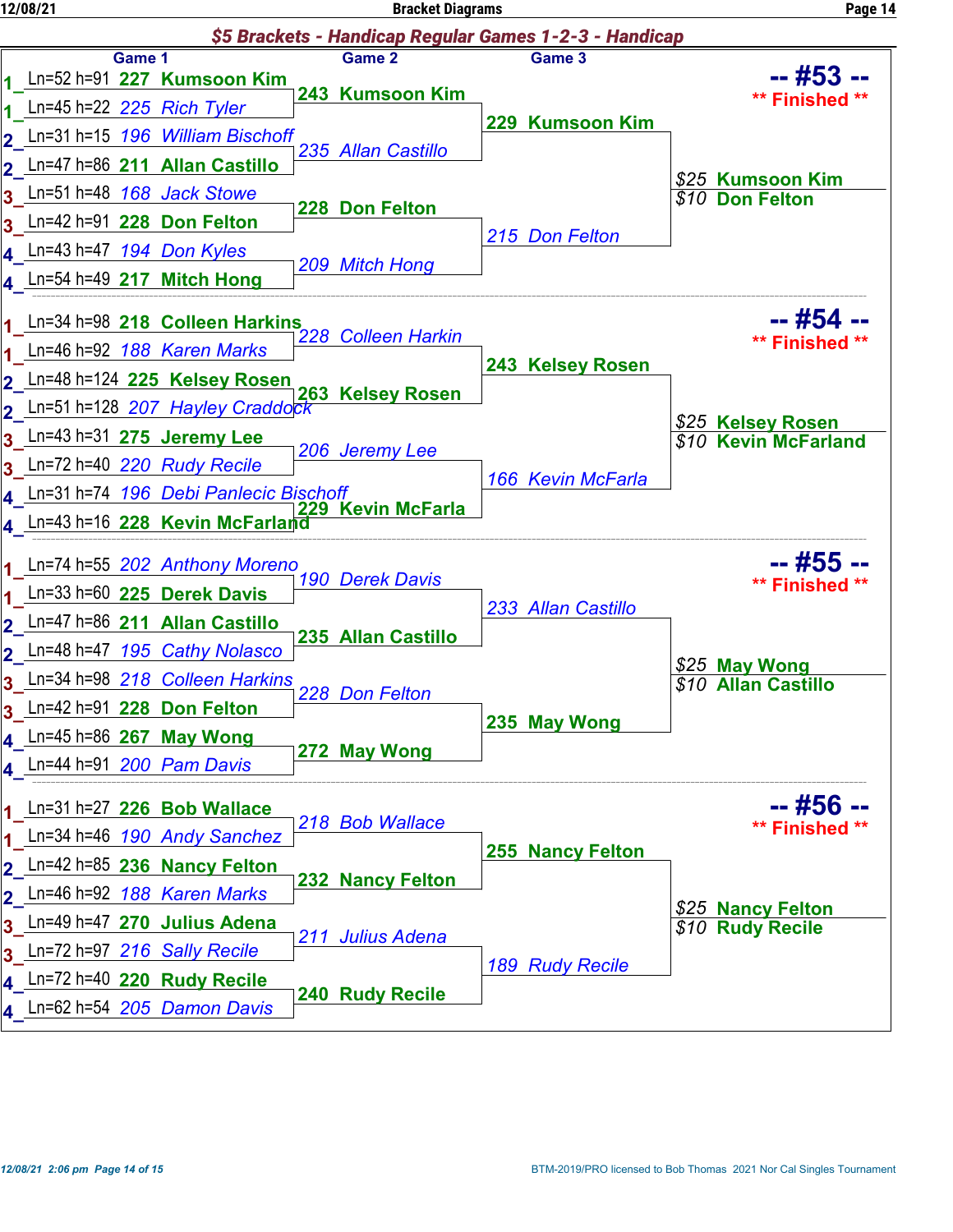